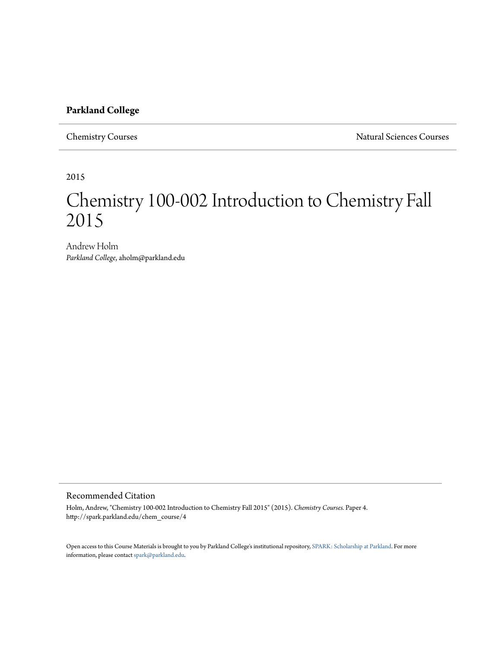### **Parkland College**

Chemistry Courses Natural Sciences Courses

2015

# Chemistry 100-002 Introduction to Chemistry Fall 2015

Andrew Holm *Parkland College*, aholm@parkland.edu

### Recommended Citation

Holm, Andrew, "Chemistry 100-002 Introduction to Chemistry Fall 2015" (2015). *Chemistry Courses.* Paper 4. http://spark.parkland.edu/chem\_course/4

Open access to this Course Materials is brought to you by Parkland College's institutional repository, [SPARK: Scholarship at Parkland](http://spark.parkland.edu/). For more information, please contact [spark@parkland.edu](mailto:spark@parkland.edu).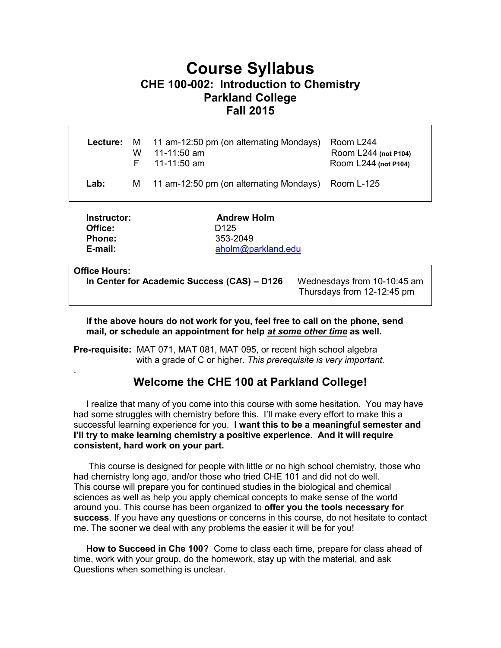# **Course Syllabus CHE 100-002: Introduction to Chemistry Parkland College Fall 2015**

|      | w | <b>Lecture:</b> M 11 am-12:50 pm (on alternating Mondays)<br>11-11:50 am<br>$F = 11-11:50$ am | Room L244<br>Room L244 (not P104)<br>Room L244 (not P104) |
|------|---|-----------------------------------------------------------------------------------------------|-----------------------------------------------------------|
| Lab: |   | M 11 am-12:50 pm (on alternating Mondays) Room L-125                                          |                                                           |
| .    |   |                                                                                               |                                                           |

**Instructor:** Andrew Holm **Office:** D125  **Phone:** 353-2049  **E-mail:** [aholm@parkland.edu](mailto:aholm@parkland.edu)

### **Office Hours:**

.

 **In Center for Academic Success (CAS) – D126** Wednesdays from 10-10:45 am

Thursdays from 12-12:45 pm

 **If the above hours do not work for you, feel free to call on the phone, send mail, or schedule an appointment for help** *at some other time* **as well.** 

**Pre-requisite:** MAT 071, MAT 081, MAT 095, or recent high school algebra with a grade of C or higher. *This prerequisite is very important.*

# **Welcome the CHE 100 at Parkland College!**

 I realize that many of you come into this course with some hesitation. You may have had some struggles with chemistry before this. I'll make every effort to make this a successful learning experience for you. **I want this to be a meaningful semester and I'll try to make learning chemistry a positive experience. And it will require consistent, hard work on your part.**

 This course is designed for people with little or no high school chemistry, those who had chemistry long ago, and/or those who tried CHE 101 and did not do well. This course will prepare you for continued studies in the biological and chemical sciences as well as help you apply chemical concepts to make sense of the world around you. This course has been organized to **offer you the tools necessary for success**. If you have any questions or concerns in this course, do not hesitate to contact me. The sooner we deal with any problems the easier it will be for you!

 **How to Succeed in Che 100?** Come to class each time, prepare for class ahead of time, work with your group, do the homework, stay up with the material, and ask Questions when something is unclear.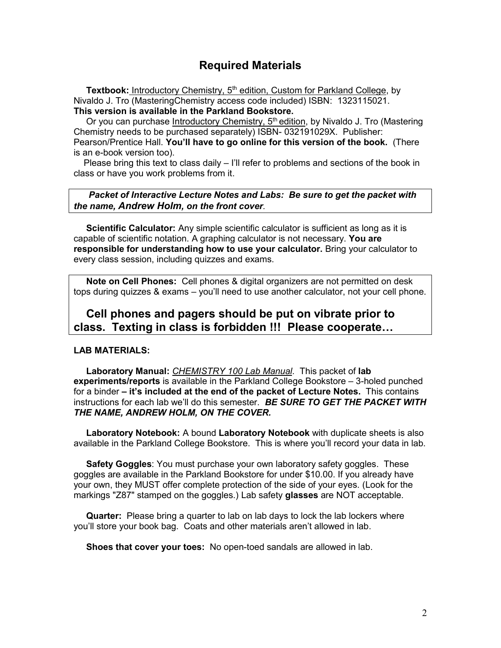# **Required Materials**

Textbook: Introductory Chemistry, 5<sup>th</sup> edition, Custom for Parkland College, by Nivaldo J. Tro (MasteringChemistry access code included) ISBN: 1323115021. **This version is available in the Parkland Bookstore.** 

Or you can purchase Introductory Chemistry, 5<sup>th</sup> edition, by Nivaldo J. Tro (Mastering Chemistry needs to be purchased separately) ISBN- 032191029X. Publisher: Pearson/Prentice Hall. **You'll have to go online for this version of the book.** (There is an e-book version too).

 Please bring this text to class daily – I'll refer to problems and sections of the book in class or have you work problems from it.

 *Packet of Interactive Lecture Notes and Labs: Be sure to get the packet with the name, Andrew Holm, on the front cover.* 

 **Scientific Calculator:** Any simple scientific calculator is sufficient as long as it is capable of scientific notation. A graphing calculator is not necessary. **You are responsible for understanding how to use your calculator.** Bring your calculator to every class session, including quizzes and exams.

 **Note on Cell Phones:** Cell phones & digital organizers are not permitted on desk tops during quizzes & exams – you'll need to use another calculator, not your cell phone.

# **Cell phones and pagers should be put on vibrate prior to class. Texting in class is forbidden !!! Please cooperate…**

### **LAB MATERIALS:**

 **Laboratory Manual:** *CHEMISTRY 100 Lab Manual*. This packet of **lab experiments/reports** is available in the Parkland College Bookstore – 3-holed punched for a binder **– it's included at the end of the packet of Lecture Notes.** This contains instructions for each lab we'll do this semester. *BE SURE TO GET THE PACKET WITH THE NAME, ANDREW HOLM, ON THE COVER.*

 **Laboratory Notebook:** A bound **Laboratory Notebook** with duplicate sheets is also available in the Parkland College Bookstore. This is where you'll record your data in lab.

 **Safety Goggles**: You must purchase your own laboratory safety goggles. These goggles are available in the Parkland Bookstore for under \$10.00. If you already have your own, they MUST offer complete protection of the side of your eyes. (Look for the markings "Z87" stamped on the goggles.) Lab safety **glasses** are NOT acceptable.

 **Quarter:** Please bring a quarter to lab on lab days to lock the lab lockers where you'll store your book bag. Coats and other materials aren't allowed in lab.

**Shoes that cover your toes:** No open-toed sandals are allowed in lab.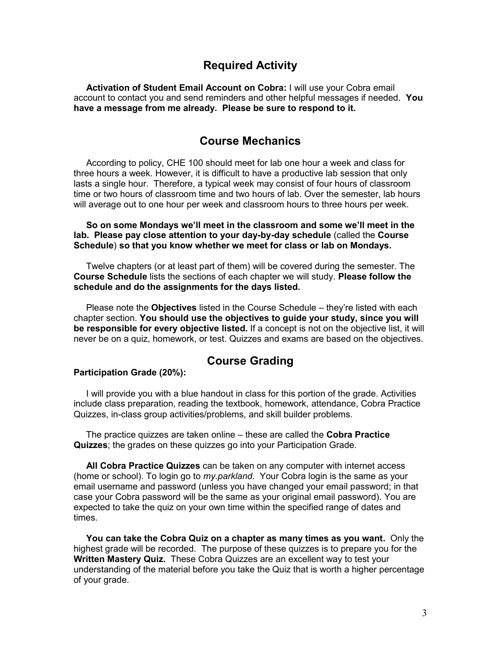## **Required Activity**

 **Activation of Student Email Account on Cobra:** I will use your Cobra email account to contact you and send reminders and other helpful messages if needed. **You have a message from me already. Please be sure to respond to it.**

# **Course Mechanics**

 According to policy, CHE 100 should meet for lab one hour a week and class for three hours a week. However, it is difficult to have a productive lab session that only lasts a single hour. Therefore, a typical week may consist of four hours of classroom time or two hours of classroom time and two hours of lab. Over the semester, lab hours will average out to one hour per week and classroom hours to three hours per week.

 **So on some Mondays we'll meet in the classroom and some we'll meet in the lab. Please pay close attention to your day-by-day schedule** (called the **Course Schedule**) **so that you know whether we meet for class or lab on Mondays.**

 Twelve chapters (or at least part of them) will be covered during the semester. The **Course Schedule** lists the sections of each chapter we will study. **Please follow the schedule and do the assignments for the days listed.**

Please note the **Objectives** listed in the Course Schedule – they're listed with each chapter section. **You should use the objectives to guide your study, since you will be responsible for every objective listed.** If a concept is not on the objective list, it will never be on a quiz, homework, or test. Quizzes and exams are based on the objectives.

# **Course Grading**

#### **Participation Grade (20%):**

I will provide you with a blue handout in class for this portion of the grade. Activities include class preparation, reading the textbook, homework, attendance, Cobra Practice Quizzes, in-class group activities/problems, and skill builder problems.

 The practice quizzes are taken online – these are called the **Cobra Practice Quizzes**; the grades on these quizzes go into your Participation Grade.

 **All Cobra Practice Quizzes** can be taken on any computer with internet access (home or school). To login go to *my.parkland*. Your Cobra login is the same as your email username and password (unless you have changed your email password; in that case your Cobra password will be the same as your original email password). You are expected to take the quiz on your own time within the specified range of dates and times.

 **You can take the Cobra Quiz on a chapter as many times as you want.** Only the highest grade will be recorded. The purpose of these quizzes is to prepare you for the **Written Mastery Quiz.** These Cobra Quizzes are an excellent way to test your understanding of the material before you take the Quiz that is worth a higher percentage of your grade.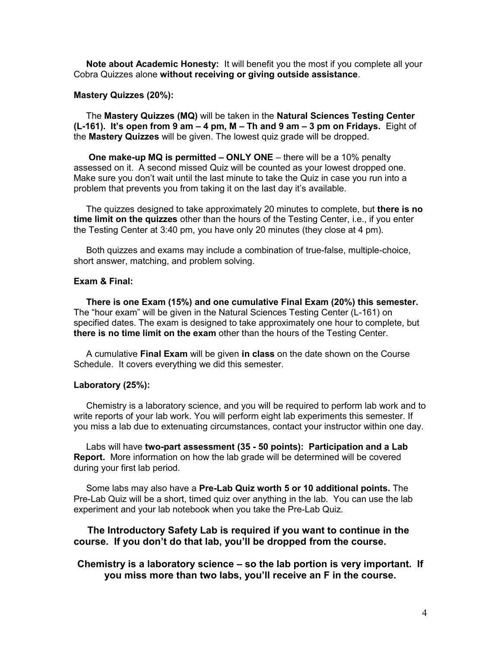**Note about Academic Honesty:** It will benefit you the most if you complete all your Cobra Quizzes alone **without receiving or giving outside assistance**.

#### **Mastery Quizzes (20%):**

 The **Mastery Quizzes (MQ)** will be taken in the **Natural Sciences Testing Center (L-161). It's open from 9 am – 4 pm, M – Th and 9 am – 3 pm on Fridays.** Eight of the **Mastery Quizzes** will be given. The lowest quiz grade will be dropped.

 **One make-up MQ is permitted – ONLY ONE** – there will be a 10% penalty assessed on it. A second missed Quiz will be counted as your lowest dropped one. Make sure you don't wait until the last minute to take the Quiz in case you run into a problem that prevents you from taking it on the last day it's available.

The quizzes designed to take approximately 20 minutes to complete, but **there is no time limit on the quizzes** other than the hours of the Testing Center, i.e., if you enter the Testing Center at 3:40 pm, you have only 20 minutes (they close at 4 pm).

 Both quizzes and exams may include a combination of true-false, multiple-choice, short answer, matching, and problem solving.

#### **Exam & Final:**

 **There is one Exam (15%) and one cumulative Final Exam (20%) this semester.** The "hour exam" will be given in the Natural Sciences Testing Center (L-161) on specified dates. The exam is designed to take approximately one hour to complete, but **there is no time limit on the exam** other than the hours of the Testing Center.

 A cumulative **Final Exam** will be given **in class** on the date shown on the Course Schedule. It covers everything we did this semester.

#### **Laboratory (25%):**

Chemistry is a laboratory science, and you will be required to perform lab work and to write reports of your lab work. You will perform eight lab experiments this semester. If you miss a lab due to extenuating circumstances, contact your instructor within one day.

 Labs will have **two-part assessment (35 - 50 points): Participation and a Lab Report.** More information on how the lab grade will be determined will be covered during your first lab period.

Some labs may also have a **Pre-Lab Quiz worth 5 or 10 additional points.** The Pre-Lab Quiz will be a short, timed quiz over anything in the lab. You can use the lab experiment and your lab notebook when you take the Pre-Lab Quiz.

### **The Introductory Safety Lab is required if you want to continue in the course. If you don't do that lab, you'll be dropped from the course.**

### **Chemistry is a laboratory science – so the lab portion is very important. If you miss more than two labs, you'll receive an F in the course.**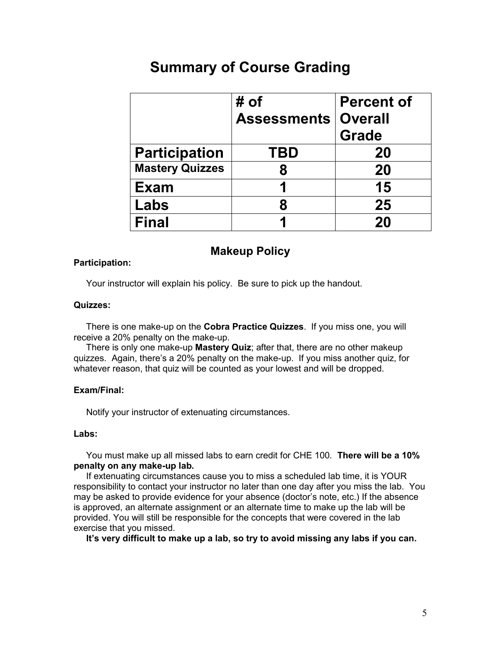# **Summary of Course Grading**

|                        | # of<br><b>Assessments   Overall</b> | <b>Percent of</b><br><b>Grade</b> |
|------------------------|--------------------------------------|-----------------------------------|
| <b>Participation</b>   | <b>TBD</b>                           | 20                                |
| <b>Mastery Quizzes</b> | 8                                    | 20                                |
| <b>Exam</b>            |                                      | 15                                |
| Labs                   | 8                                    | 25                                |
| <b>Final</b>           |                                      | 20                                |

# **Makeup Policy**

### **Participation:**

Your instructor will explain his policy. Be sure to pick up the handout.

### **Quizzes:**

There is one make-up on the **Cobra Practice Quizzes**. If you miss one, you will receive a 20% penalty on the make-up.

 There is only one make-up **Mastery Quiz**; after that, there are no other makeup quizzes. Again, there's a 20% penalty on the make-up. If you miss another quiz, for whatever reason, that quiz will be counted as your lowest and will be dropped.

### **Exam/Final:**

Notify your instructor of extenuating circumstances.

### **Labs:**

You must make up all missed labs to earn credit for CHE 100. **There will be a 10% penalty on any make-up lab.** 

If extenuating circumstances cause you to miss a scheduled lab time, it is YOUR responsibility to contact your instructor no later than one day after you miss the lab. You may be asked to provide evidence for your absence (doctor's note, etc.) If the absence is approved, an alternate assignment or an alternate time to make up the lab will be provided. You will still be responsible for the concepts that were covered in the lab exercise that you missed.

**It's very difficult to make up a lab, so try to avoid missing any labs if you can.**